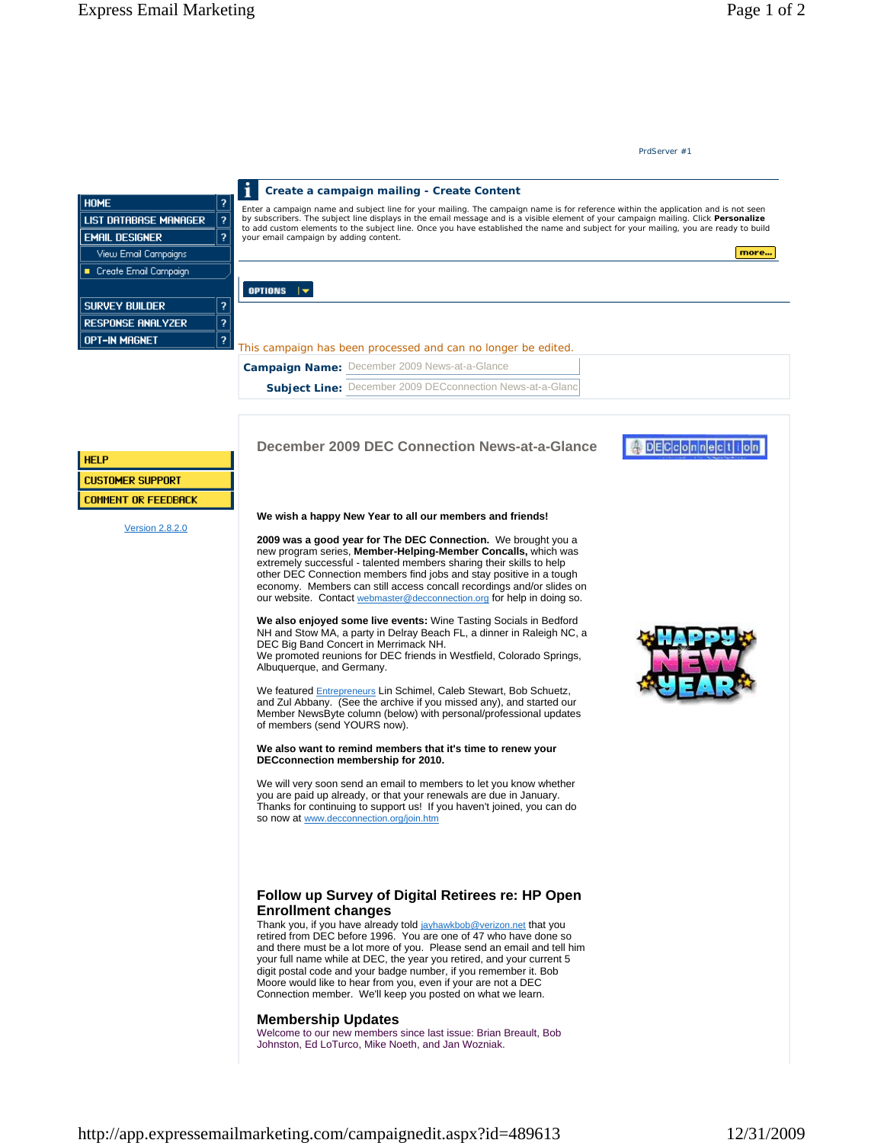# **December 2009 DEC Connection News-at-a-Glance**

#### **We wish a happy New Year to all our members and friends!**

**2009 was a good year for The DEC Connection.** We brought you a new program series, **Member-Helping-Member Concalls,** which was extremely successful - talented members sharing their skills to help other DEC Connection members find jobs and stay positive in a tough economy. Members can still access concall recordings and/or slides on our website. Contact webmaster@decconnection.org for help in doing so.

**We also enjoyed some live events:** Wine Tasting Socials in Bedford NH and Stow MA, a party in Delray Beach FL, a dinner in Raleigh NC, a DEC Big Band Concert in Merrimack NH.

We promoted reunions for DEC friends in Westfield, Colorado Springs, Albuquerque, and Germany.

We featured Entrepreneurs Lin Schimel, Caleb Stewart, Bob Schuetz, and Zul Abbany. (See the archive if you missed any), and started our Member NewsByte column (below) with personal/professional updates of members (send YOURS now).

#### **We also want to remind members that it's time to renew your DECconnection membership for 2010.**

We will very soon send an email to members to let you know whether you are paid up already, or that your renewals are due in January. Thanks for continuing to support us! If you haven't joined, you can do so now at www.decconnection.org/join.htm

## **Follow up Survey of Digital Retirees re: HP Open Enrollment changes**

Thank you, if you have already told jayhawkbob@verizon.net that you retired from DEC before 1996. You are one of 47 who have done so and there must be a lot more of you. Please send an email and tell him your full name while at DEC, the year you retired, and your current 5 digit postal code and your badge number, if you remember it. Bob Moore would like to hear from you, even if your are not a DEC Connection member. We'll keep you posted on what we learn.

## **Membership Updates**

Welcome to our new members since last issue: Brian Breault, Bob Johnston, Ed LoTurco, Mike Noeth, and Jan Wozniak.